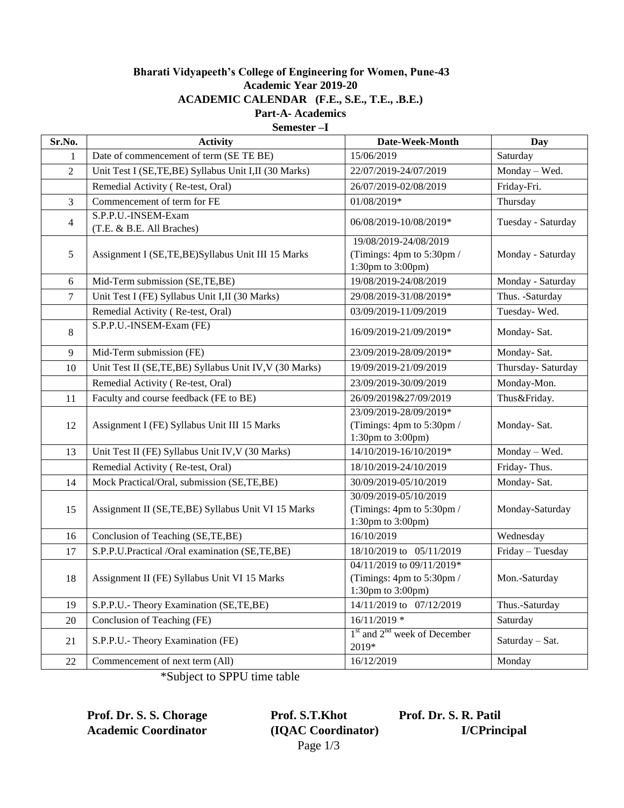## **Bharati Vidyapeeth's College of Engineering for Women, Pune-43 Academic Year 2019-20 ACADEMIC CALENDAR (F.E., S.E., T.E., .B.E.) Part-A- Academics**

**Semester –I**

| Sr.No.         | <b>Activity</b>                                        | Date-Week-Month                                                                                  | <b>Day</b>         |
|----------------|--------------------------------------------------------|--------------------------------------------------------------------------------------------------|--------------------|
| 1              | Date of commencement of term (SE TE BE)                | 15/06/2019                                                                                       | Saturday           |
| $\overline{2}$ | Unit Test I (SE,TE,BE) Syllabus Unit I,II (30 Marks)   | 22/07/2019-24/07/2019                                                                            | Monday - Wed.      |
|                | Remedial Activity (Re-test, Oral)                      | 26/07/2019-02/08/2019                                                                            | Friday-Fri.        |
| $\mathfrak{Z}$ | Commencement of term for FE                            | 01/08/2019*                                                                                      | Thursday           |
| $\overline{4}$ | S.P.P.U.-INSEM-Exam<br>(T.E. & B.E. All Braches)       | 06/08/2019-10/08/2019*                                                                           | Tuesday - Saturday |
| 5              | Assignment I (SE,TE,BE)Syllabus Unit III 15 Marks      | 19/08/2019-24/08/2019<br>(Timings: 4pm to 5:30pm /<br>1:30pm to 3:00pm)                          | Monday - Saturday  |
| 6              | Mid-Term submission (SE,TE,BE)                         | 19/08/2019-24/08/2019                                                                            | Monday - Saturday  |
| 7              | Unit Test I (FE) Syllabus Unit I,II (30 Marks)         | 29/08/2019-31/08/2019*                                                                           | Thus. - Saturday   |
|                | Remedial Activity (Re-test, Oral)                      | 03/09/2019-11/09/2019                                                                            | Tuesday-Wed.       |
| 8              | S.P.P.U.-INSEM-Exam (FE)                               | 16/09/2019-21/09/2019*                                                                           | Monday-Sat.        |
| $\overline{9}$ | Mid-Term submission (FE)                               | 23/09/2019-28/09/2019*                                                                           | Monday-Sat.        |
| 10             | Unit Test II (SE,TE,BE) Syllabus Unit IV, V (30 Marks) | 19/09/2019-21/09/2019                                                                            | Thursday-Saturday  |
|                | Remedial Activity (Re-test, Oral)                      | 23/09/2019-30/09/2019                                                                            | Monday-Mon.        |
| 11             | Faculty and course feedback (FE to BE)                 | 26/09/2019&27/09/2019                                                                            | Thus&Friday.       |
| 12             | Assignment I (FE) Syllabus Unit III 15 Marks           | 23/09/2019-28/09/2019*<br>(Timings: 4pm to 5:30pm /<br>1:30pm to 3:00pm)                         | Monday-Sat.        |
| 13             | Unit Test II (FE) Syllabus Unit IV, V (30 Marks)       | 14/10/2019-16/10/2019*                                                                           | Monday - Wed.      |
|                | Remedial Activity (Re-test, Oral)                      | 18/10/2019-24/10/2019                                                                            | Friday-Thus.       |
| 14             | Mock Practical/Oral, submission (SE,TE,BE)             | 30/09/2019-05/10/2019                                                                            | Monday-Sat.        |
| 15             | Assignment II (SE,TE,BE) Syllabus Unit VI 15 Marks     | 30/09/2019-05/10/2019<br>(Timings: 4pm to 5:30pm /<br>1:30pm to 3:00pm)                          | Monday-Saturday    |
| 16             | Conclusion of Teaching (SE,TE,BE)                      | 16/10/2019                                                                                       | Wednesday          |
| 17             | S.P.P.U.Practical /Oral examination (SE,TE,BE)         | 18/10/2019 to 05/11/2019                                                                         | Friday - Tuesday   |
| 18             | Assignment II (FE) Syllabus Unit VI 15 Marks           | 04/11/2019 to 09/11/2019*<br>(Timings: 4pm to 5:30pm /<br>$1:30 \text{pm}$ to $3:00 \text{pm}$ ) | Mon.-Saturday      |
| 19             | S.P.P.U.- Theory Examination (SE,TE,BE)                | 14/11/2019 to 07/12/2019                                                                         | Thus.-Saturday     |
| 20             | Conclusion of Teaching (FE)                            | $16/11/2019$ *                                                                                   | Saturday           |
| 21             | S.P.P.U.- Theory Examination (FE)                      | $1st$ and $2nd$ week of December<br>2019*                                                        | Saturday - Sat.    |
| 22             | Commencement of next term (All)                        | 16/12/2019                                                                                       | Monday             |

\*Subject to SPPU time table

**Academic Coordinator (IQAC Coordinator) I/CPrincipal**

**Prof. Dr. S. S. Chorage Prof. S.T.Khot Prof. Dr. S. R. Patil** Page 1/3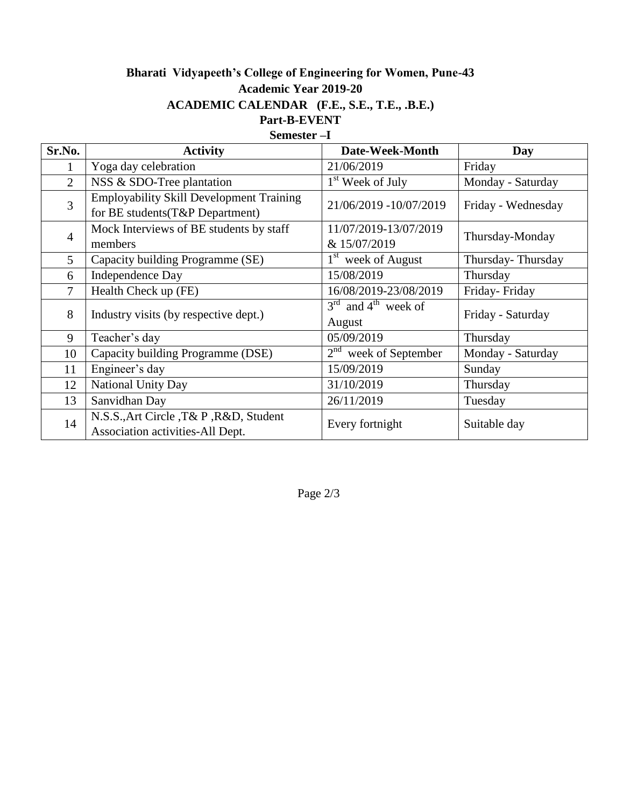## **Bharati Vidyapeeth's College of Engineering for Women, Pune-43 Academic Year 2019-20 ACADEMIC CALENDAR (F.E., S.E., T.E., .B.E.) Part-B-EVENT Semester –I**

| Sr.No.         | <b>Activity</b>                                                                    | Date-Week-Month                             | Day                |
|----------------|------------------------------------------------------------------------------------|---------------------------------------------|--------------------|
| 1              | Yoga day celebration                                                               | 21/06/2019                                  | Friday             |
| $\overline{2}$ | NSS & SDO-Tree plantation                                                          | 1 <sup>st</sup> Week of July                | Monday - Saturday  |
| 3              | <b>Employability Skill Development Training</b><br>for BE students(T&P Department) | 21/06/2019 -10/07/2019                      | Friday - Wednesday |
| $\overline{4}$ | Mock Interviews of BE students by staff<br>members                                 | 11/07/2019-13/07/2019<br>& 15/07/2019       | Thursday-Monday    |
| 5              | Capacity building Programme (SE)                                                   | 1 <sup>st</sup> week of August              | Thursday-Thursday  |
| 6              | <b>Independence Day</b>                                                            | 15/08/2019                                  | Thursday           |
| $\overline{7}$ | Health Check up (FE)                                                               | 16/08/2019-23/08/2019                       | Friday-Friday      |
| 8              | Industry visits (by respective dept.)                                              | $3rd$ and 4 <sup>th</sup> week of<br>August | Friday - Saturday  |
| 9              | Teacher's day                                                                      | 05/09/2019                                  | Thursday           |
| 10             | Capacity building Programme (DSE)                                                  | $2nd$ week of September                     | Monday - Saturday  |
| 11             | Engineer's day                                                                     | 15/09/2019                                  | Sunday             |
| 12             | National Unity Day                                                                 | 31/10/2019                                  | Thursday           |
| 13             | Sanvidhan Day                                                                      | 26/11/2019                                  | Tuesday            |
| 14             | N.S.S., Art Circle, T& P, R&D, Student<br>Association activities-All Dept.         | Every fortnight                             | Suitable day       |

Page 2/3